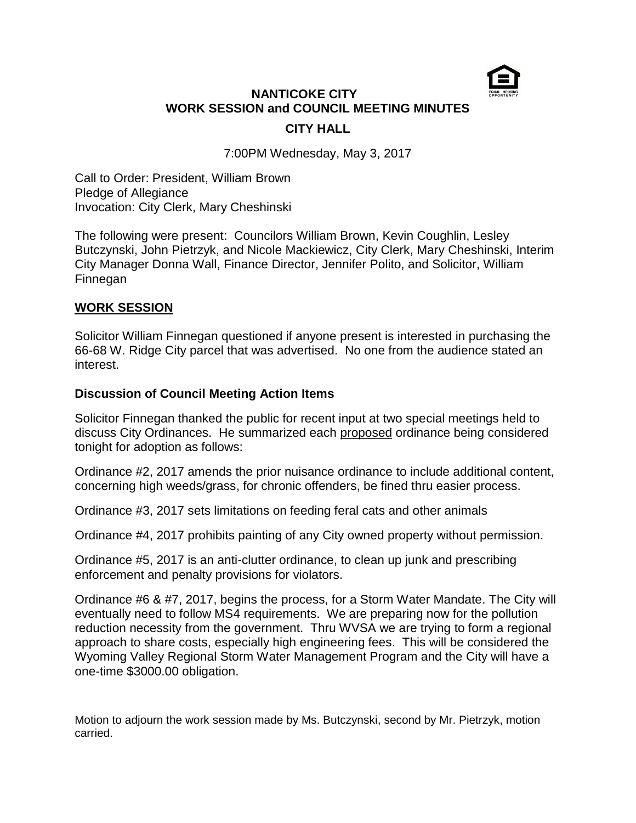

# **NANTICOKE CITY WORK SESSION and COUNCIL MEETING MINUTES CITY HALL**

7:00PM Wednesday, May 3, 2017

Call to Order: President, William Brown Pledge of Allegiance Invocation: City Clerk, Mary Cheshinski

The following were present: Councilors William Brown, Kevin Coughlin, Lesley Butczynski, John Pietrzyk, and Nicole Mackiewicz, City Clerk, Mary Cheshinski, Interim City Manager Donna Wall, Finance Director, Jennifer Polito, and Solicitor, William Finnegan

### **WORK SESSION**

Solicitor William Finnegan questioned if anyone present is interested in purchasing the 66-68 W. Ridge City parcel that was advertised. No one from the audience stated an interest.

### **Discussion of Council Meeting Action Items**

Solicitor Finnegan thanked the public for recent input at two special meetings held to discuss City Ordinances. He summarized each proposed ordinance being considered tonight for adoption as follows:

Ordinance #2, 2017 amends the prior nuisance ordinance to include additional content, concerning high weeds/grass, for chronic offenders, be fined thru easier process.

Ordinance #3, 2017 sets limitations on feeding feral cats and other animals

Ordinance #4, 2017 prohibits painting of any City owned property without permission.

Ordinance #5, 2017 is an anti-clutter ordinance, to clean up junk and prescribing enforcement and penalty provisions for violators.

Ordinance #6 & #7, 2017, begins the process, for a Storm Water Mandate. The City will eventually need to follow MS4 requirements. We are preparing now for the pollution reduction necessity from the government. Thru WVSA we are trying to form a regional approach to share costs, especially high engineering fees. This will be considered the Wyoming Valley Regional Storm Water Management Program and the City will have a one-time \$3000.00 obligation.

Motion to adjourn the work session made by Ms. Butczynski, second by Mr. Pietrzyk, motion carried.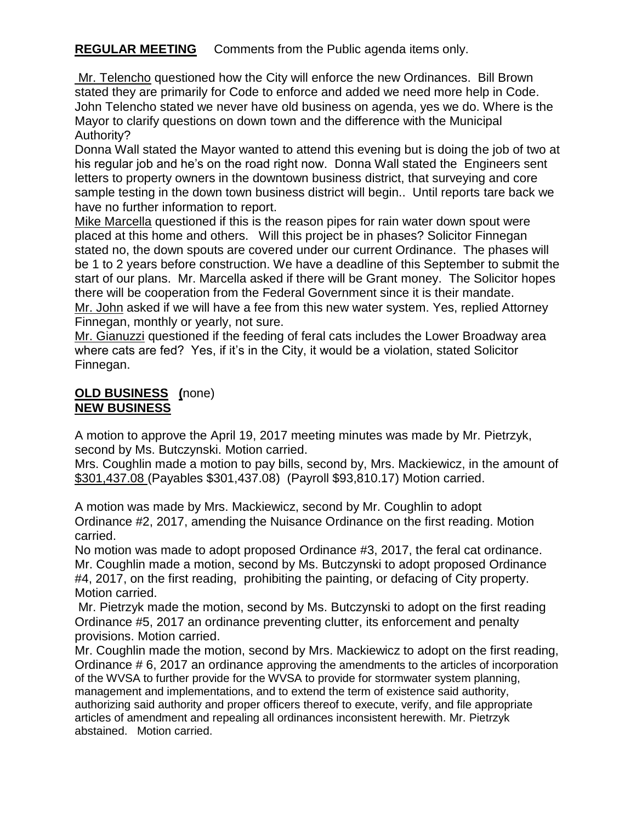## **REGULAR MEETING** Comments from the Public agenda items only.

Mr. Telencho questioned how the City will enforce the new Ordinances. Bill Brown stated they are primarily for Code to enforce and added we need more help in Code. John Telencho stated we never have old business on agenda, yes we do. Where is the Mayor to clarify questions on down town and the difference with the Municipal Authority?

Donna Wall stated the Mayor wanted to attend this evening but is doing the job of two at his regular job and he's on the road right now. Donna Wall stated the Engineers sent letters to property owners in the downtown business district, that surveying and core sample testing in the down town business district will begin.. Until reports tare back we have no further information to report.

Mike Marcella questioned if this is the reason pipes for rain water down spout were placed at this home and others. Will this project be in phases? Solicitor Finnegan stated no, the down spouts are covered under our current Ordinance. The phases will be 1 to 2 years before construction. We have a deadline of this September to submit the start of our plans. Mr. Marcella asked if there will be Grant money. The Solicitor hopes there will be cooperation from the Federal Government since it is their mandate. Mr. John asked if we will have a fee from this new water system. Yes, replied Attorney Finnegan, monthly or yearly, not sure.

Mr. Gianuzzi questioned if the feeding of feral cats includes the Lower Broadway area where cats are fed? Yes, if it's in the City, it would be a violation, stated Solicitor Finnegan.

## **OLD BUSINESS (**none) **NEW BUSINESS**

A motion to approve the April 19, 2017 meeting minutes was made by Mr. Pietrzyk, second by Ms. Butczynski. Motion carried.

Mrs. Coughlin made a motion to pay bills, second by, Mrs. Mackiewicz, in the amount of \$301,437.08 (Payables \$301,437.08) (Payroll \$93,810.17) Motion carried.

A motion was made by Mrs. Mackiewicz, second by Mr. Coughlin to adopt Ordinance #2, 2017, amending the Nuisance Ordinance on the first reading. Motion carried.

No motion was made to adopt proposed Ordinance #3, 2017, the feral cat ordinance. Mr. Coughlin made a motion, second by Ms. Butczynski to adopt proposed Ordinance #4, 2017, on the first reading, prohibiting the painting, or defacing of City property. Motion carried.

Mr. Pietrzyk made the motion, second by Ms. Butczynski to adopt on the first reading Ordinance #5, 2017 an ordinance preventing clutter, its enforcement and penalty provisions. Motion carried.

Mr. Coughlin made the motion, second by Mrs. Mackiewicz to adopt on the first reading, Ordinance # 6, 2017 an ordinance approving the amendments to the articles of incorporation of the WVSA to further provide for the WVSA to provide for stormwater system planning, management and implementations, and to extend the term of existence said authority, authorizing said authority and proper officers thereof to execute, verify, and file appropriate articles of amendment and repealing all ordinances inconsistent herewith. Mr. Pietrzyk abstained. Motion carried.